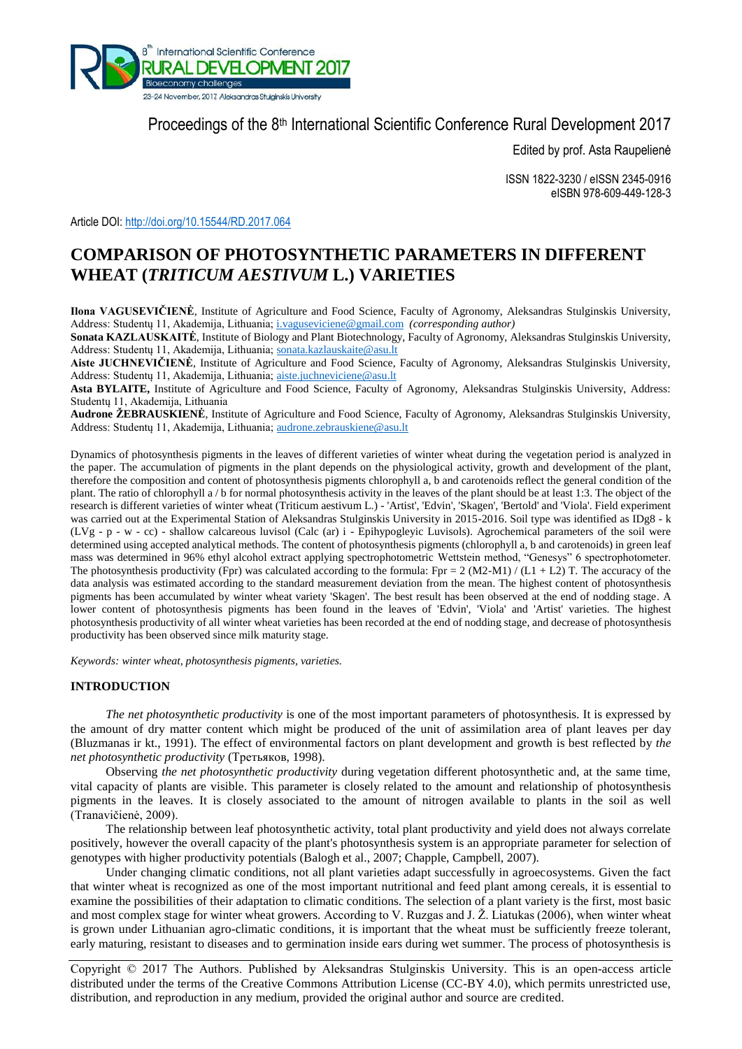

Proceedings of the 8<sup>th</sup> International Scientific Conference Rural Development 2017

Edited by prof. Asta Raupelienė

ISSN 1822-3230 / eISSN 2345-0916 eISBN 978-609-449-128-3

Article DOI: <http://doi.org/10.15544/RD.2017.064>

# **COMPARISON OF PHOTOSYNTHETIC PARAMETERS IN DIFFERENT WHEAT (***TRITICUM AESTIVUM* **L.) VARIETIES**

**Ilona VAGUSEVIČIENĖ**, Institute of Agriculture and Food Science, Faculty of Agronomy, Aleksandras Stulginskis University, Address: Studentų 11, Akademija, Lithuania; [i.vaguseviciene@gmail.com](mailto:i.vaguseviciene@gmail.com) *(corresponding author)*

**Sonata KAZLAUSKAITĖ**, Institute of Biology and Plant Biotechnology, Faculty of Agronomy, Aleksandras Stulginskis University, Address: Studentų 11, Akademija, Lithuania; [sonata.kazlauskaite@asu.lt](mailto:sonata.kazlauskaite@asu.lt)

**Aiste JUCHNEVIČIENĖ**, Institute of Agriculture and Food Science, Faculty of Agronomy, Aleksandras Stulginskis University, Address: Studentų 11, Akademija, Lithuania; [aiste.juchneviciene@asu.lt](mailto:aiste.juchneviciene@asu.lt)

**Asta BYLAITE,** Institute of Agriculture and Food Science, Faculty of Agronomy, Aleksandras Stulginskis University, Address: Studentų 11, Akademija, Lithuania

**Audrone ŽEBRAUSKIENĖ**, Institute of Agriculture and Food Science, Faculty of Agronomy, Aleksandras Stulginskis University, Address: Studentų 11, Akademija, Lithuania; [audrone.zebrauskiene@asu.lt](mailto:audrone.zebrauskiene@asu.lt)

Dynamics of photosynthesis pigments in the leaves of different varieties of winter wheat during the vegetation period is analyzed in the paper. The accumulation of pigments in the plant depends on the physiological activity, growth and development of the plant, therefore the composition and content of photosynthesis pigments chlorophyll a, b and carotenoids reflect the general condition of the plant. The ratio of chlorophyll a / b for normal photosynthesis activity in the leaves of the plant should be at least 1:3. The object of the research is different varieties of winter wheat (Triticum aestivum L.) - 'Artist', 'Edvin', 'Skagen', 'Bertold' and 'Viola'. Field experiment was carried out at the Experimental Station of Aleksandras Stulginskis University in 2015-2016. Soil type was identified as IDg8 - k (LVg - p - w - cc) - shallow calcareous luvisol (Calc (ar) i - Epihypogleyic Luvisols). Agrochemical parameters of the soil were determined using accepted analytical methods. The content of photosynthesis pigments (chlorophyll a, b and carotenoids) in green leaf mass was determined in 96% ethyl alcohol extract applying spectrophotometric Wettstein method, "Genesys" 6 spectrophotometer. The photosynthesis productivity (Fpr) was calculated according to the formula: Fpr = 2 (M2-M1) / (L1 + L2) T. The accuracy of the data analysis was estimated according to the standard measurement deviation from the mean. The highest content of photosynthesis pigments has been accumulated by winter wheat variety 'Skagen'. The best result has been observed at the end of nodding stage. A lower content of photosynthesis pigments has been found in the leaves of 'Edvin', 'Viola' and 'Artist' varieties. The highest photosynthesis productivity of all winter wheat varieties has been recorded at the end of nodding stage, and decrease of photosynthesis productivity has been observed since milk maturity stage.

*Keywords: winter wheat, photosynthesis pigments, varieties.*

# **INTRODUCTION**

*The net photosynthetic productivity* is one of the most important parameters of photosynthesis. It is expressed by the amount of dry matter content which might be produced of the unit of assimilation area of plant leaves per day (Bluzmanas ir kt., 1991). The effect of environmental factors on plant development and growth is best reflected by *the net photosynthetic productivity* (Третьяков, 1998).

Observing *the net photosynthetic productivity* during vegetation different photosynthetic and, at the same time, vital capacity of plants are visible. This parameter is closely related to the amount and relationship of photosynthesis pigments in the leaves. It is closely associated to the amount of nitrogen available to plants in the soil as well (Tranavičienė, 2009).

The relationship between leaf photosynthetic activity, total plant productivity and yield does not always correlate positively, however the overall capacity of the plant's photosynthesis system is an appropriate parameter for selection of genotypes with higher productivity potentials (Balogh et al., 2007; Chapple, Campbell, 2007).

Under changing climatic conditions, not all plant varieties adapt successfully in agroecosystems. Given the fact that winter wheat is recognized as one of the most important nutritional and feed plant among cereals, it is essential to examine the possibilities of their adaptation to climatic conditions. The selection of a plant variety is the first, most basic and most complex stage for winter wheat growers. According to V. Ruzgas and J. Ž. Liatukas (2006), when winter wheat is grown under Lithuanian agro-climatic conditions, it is important that the wheat must be sufficiently freeze tolerant, early maturing, resistant to diseases and to germination inside ears during wet summer. The process of photosynthesis is

Copyright © 2017 The Authors. Published by Aleksandras Stulginskis University. This is an open-access article distributed under the terms of the Creative Commons Attribution License (CC-BY 4.0), which permits unrestricted use, distribution, and reproduction in any medium, provided the original author and source are credited.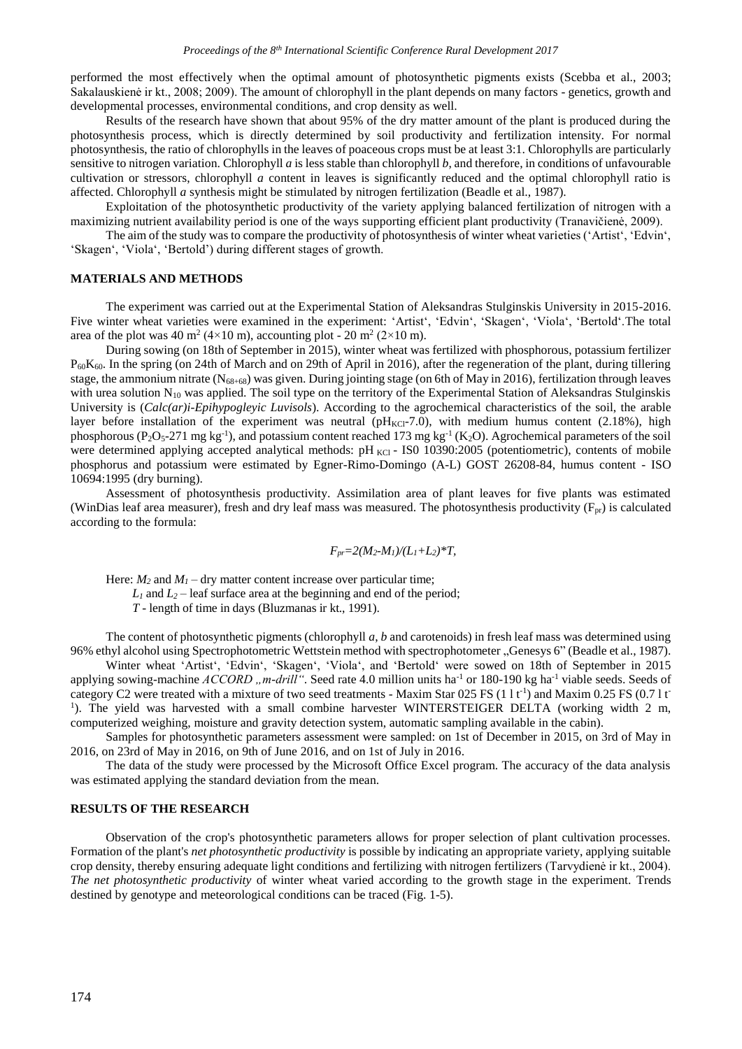performed the most effectively when the optimal amount of photosynthetic pigments exists (Scebba et al., 2003; Sakalauskienė ir kt., 2008; 2009). The amount of chlorophyll in the plant depends on many factors - genetics, growth and developmental processes, environmental conditions, and crop density as well.

Results of the research have shown that about 95% of the dry matter amount of the plant is produced during the photosynthesis process, which is directly determined by soil productivity and fertilization intensity. For normal photosynthesis, the ratio of chlorophylls in the leaves of poaceous crops must be at least 3:1. Chlorophylls are particularly sensitive to nitrogen variation. Chlorophyll *a* is less stable than chlorophyll *b*, and therefore, in conditions of unfavourable cultivation or stressors, chlorophyll *a* content in leaves is significantly reduced and the optimal chlorophyll ratio is affected. Chlorophyll *a* synthesis might be stimulated by nitrogen fertilization (Beadle et al., 1987).

Exploitation of the photosynthetic productivity of the variety applying balanced fertilization of nitrogen with a maximizing nutrient availability period is one of the ways supporting efficient plant productivity (Tranavičienė, 2009).

The aim of the study was to compare the productivity of photosynthesis of winter wheat varieties ('Artist', 'Edvin', 'Skagen', 'Viola', 'Bertold') during different stages of growth.

### **MATERIALS AND METHODS**

The experiment was carried out at the Experimental Station of Aleksandras Stulginskis University in 2015-2016. Five winter wheat varieties were examined in the experiment: 'Artist', 'Edvin', 'Skagen', 'Viola', 'Bertold'.The total area of the plot was 40 m<sup>2</sup> (4×10 m), accounting plot - 20 m<sup>2</sup> (2×10 m).

During sowing (on 18th of September in 2015), winter wheat was fertilized with phosphorous, potassium fertilizer P60K60. In the spring (on 24th of March and on 29th of April in 2016), after the regeneration of the plant, during tillering stage, the ammonium nitrate (N68+68) was given. During jointing stage (on 6th of May in 2016), fertilization through leaves with urea solution  $N_{10}$  was applied. The soil type on the territory of the Experimental Station of Aleksandras Stulginskis University is (*Calc(ar)i-Epihypogleyic Luvisols*). According to the agrochemical characteristics of the soil, the arable layer before installation of the experiment was neutral ( $pH_{\text{KCl}}-7.0$ ), with medium humus content (2.18%), high phosphorous ( $P_2O_5$ -271 mg kg<sup>-1</sup>), and potassium content reached 173 mg kg<sup>-1</sup> (K<sub>2</sub>O). Agrochemical parameters of the soil were determined applying accepted analytical methods:  $pH_{\text{KCl}}$  - ISO 10390:2005 (potentiometric), contents of mobile phosphorus and potassium were estimated by Egner-Rimo-Domingo (A-L) GOST 26208-84, humus content - ISO 10694:1995 (dry burning).

Assessment of photosynthesis productivity. Assimilation area of plant leaves for five plants was estimated (WinDias leaf area measurer), fresh and dry leaf mass was measured. The photosynthesis productivity  $(F_{pr})$  is calculated according to the formula:

$$
F_{pr} = 2(M_2 \cdot M_1)/(L_1 + L_2)^*T
$$

Here:  $M_2$  and  $M_1$  – dry matter content increase over particular time;

 $L_1$  and  $L_2$  – leaf surface area at the beginning and end of the period;

*T* - length of time in days (Bluzmanas ir kt., 1991).

The content of photosynthetic pigments (chlorophyll *a*, *b* and carotenoids) in fresh leaf mass was determined using 96% ethyl alcohol using Spectrophotometric Wettstein method with spectrophotometer "Genesys 6" (Beadle et al., 1987).

Winter wheat 'Artist', 'Edvin', 'Skagen', 'Viola', and 'Bertold' were sowed on 18th of September in 2015 applying sowing-machine *ACCORD* "*m-drill*". Seed rate 4.0 million units ha<sup>-1</sup> or 180-190 kg ha<sup>-1</sup> viable seeds. Seeds of category C2 were treated with a mixture of two seed treatments - Maxim Star 025 FS  $(11t^{-1})$  and Maxim 0.25 FS  $(0.71t^{-1})$ <sup>1</sup>). The yield was harvested with a small combine harvester WINTERSTEIGER DELTA (working width 2 m, computerized weighing, moisture and gravity detection system, automatic sampling available in the cabin).

Samples for photosynthetic parameters assessment were sampled: on 1st of December in 2015, on 3rd of May in 2016, on 23rd of May in 2016, on 9th of June 2016, and on 1st of July in 2016.

The data of the study were processed by the Microsoft Office Excel program. The accuracy of the data analysis was estimated applying the standard deviation from the mean.

## **RESULTS OF THE RESEARCH**

Observation of the crop's photosynthetic parameters allows for proper selection of plant cultivation processes. Formation of the plant's *net photosynthetic productivity* is possible by indicating an appropriate variety, applying suitable crop density, thereby ensuring adequate light conditions and fertilizing with nitrogen fertilizers (Tarvydienė ir kt., 2004). *The net photosynthetic productivity* of winter wheat varied according to the growth stage in the experiment. Trends destined by genotype and meteorological conditions can be traced (Fig. 1-5).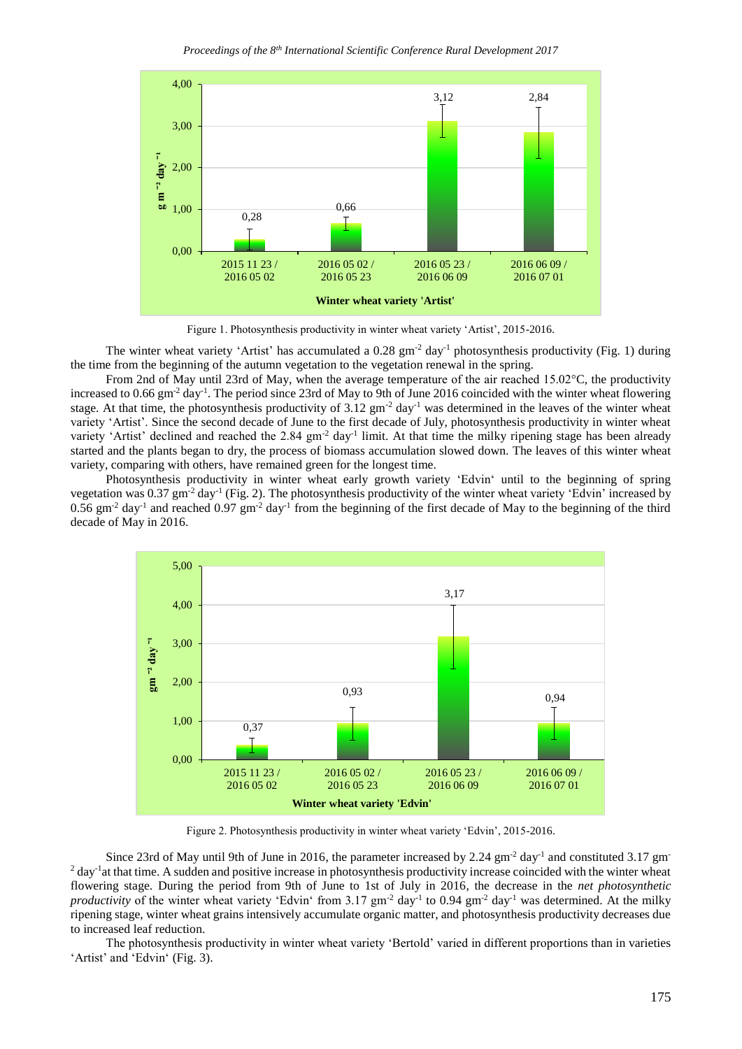

Figure 1. Photosynthesis productivity in winter wheat variety 'Artist', 2015-2016.

The winter wheat variety 'Artist' has accumulated a 0.28 gm<sup>-2</sup> day<sup>-1</sup> photosynthesis productivity (Fig. 1) during the time from the beginning of the autumn vegetation to the vegetation renewal in the spring.

From 2nd of May until 23rd of May, when the average temperature of the air reached 15.02°C, the productivity increased to 0.66  $\text{gm}^2$  day<sup>-1</sup>. The period since 23rd of May to 9th of June 2016 coincided with the winter wheat flowering stage. At that time, the photosynthesis productivity of 3.12 gm<sup>-2</sup> day<sup>-1</sup> was determined in the leaves of the winter wheat variety 'Artist'. Since the second decade of June to the first decade of July, photosynthesis productivity in winter wheat variety 'Artist' declined and reached the  $2.84 \text{ gm}^{-2}$  day<sup>-1</sup> limit. At that time the milky ripening stage has been already started and the plants began to dry, the process of biomass accumulation slowed down. The leaves of this winter wheat variety, comparing with others, have remained green for the longest time.

Photosynthesis productivity in winter wheat early growth variety 'Edvin' until to the beginning of spring vegetation was 0.37 gm<sup>-2</sup> day<sup>-1</sup> (Fig. 2). The photosynthesis productivity of the winter wheat variety 'Edvin' increased by  $0.56$  gm<sup>-2</sup> day<sup>-1</sup> and reached  $0.97$  gm<sup>-2</sup> day<sup>-1</sup> from the beginning of the first decade of May to the beginning of the third decade of May in 2016.



Figure 2. Photosynthesis productivity in winter wheat variety 'Edvin', 2015-2016.

Since 23rd of May until 9th of June in 2016, the parameter increased by 2.24  $\text{gm}^2$  day<sup>-1</sup> and constituted 3.17  $\text{gm}$  $2$  day<sup>-1</sup> at that time. A sudden and positive increase in photosynthesis productivity increase coincided with the winter wheat flowering stage. During the period from 9th of June to 1st of July in 2016, the decrease in the *net photosynthetic productivity* of the winter wheat variety 'Edvin' from  $3.17 \text{ gm}^2$  day<sup>-1</sup> to  $0.94 \text{ gm}^2$  day<sup>-1</sup> was determined. At the milky ripening stage, winter wheat grains intensively accumulate organic matter, and photosynthesis productivity decreases due to increased leaf reduction.

The photosynthesis productivity in winter wheat variety 'Bertold' varied in different proportions than in varieties 'Artist' and 'Edvin' (Fig. 3).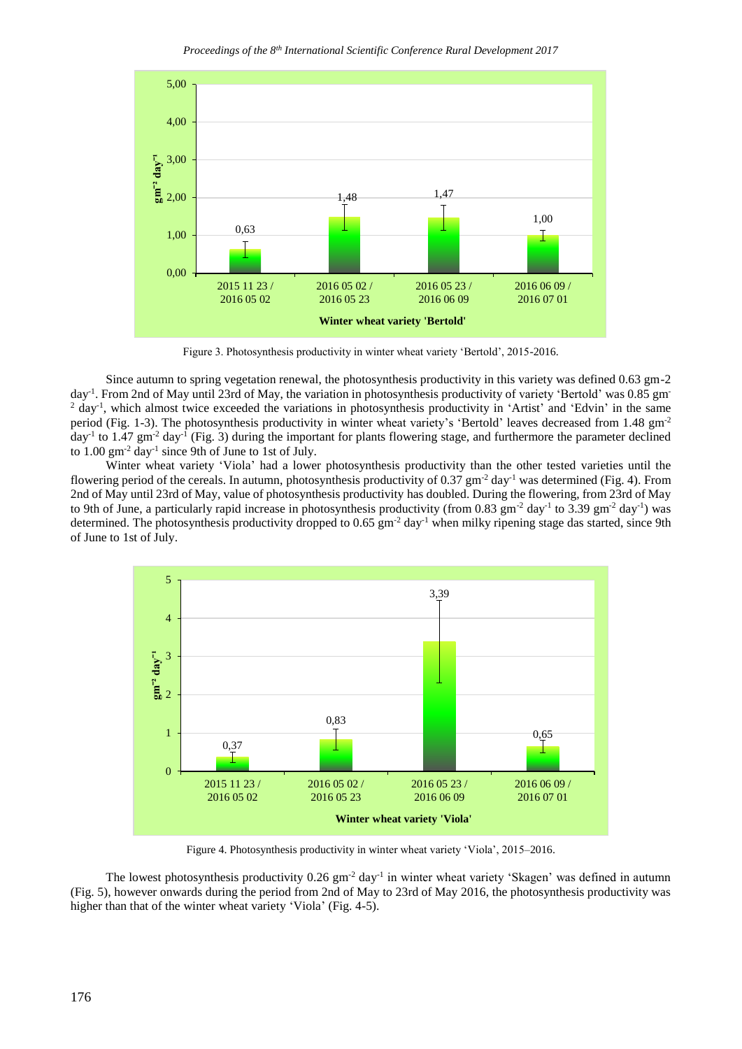*Proceedings of the 8th International Scientific Conference Rural Development 2017*



Figure 3. Photosynthesis productivity in winter wheat variety 'Bertold', 2015-2016.

Since autumn to spring vegetation renewal, the photosynthesis productivity in this variety was defined 0.63 gm-2 day<sup>-1</sup>. From 2nd of May until 23rd of May, the variation in photosynthesis productivity of variety 'Bertold' was 0.85 gm <sup>2</sup> day<sup>-1</sup>, which almost twice exceeded the variations in photosynthesis productivity in 'Artist' and 'Edvin' in the same period (Fig. 1-3). The photosynthesis productivity in winter wheat variety's 'Bertold' leaves decreased from 1.48 gm-2  $day<sup>-1</sup>$  to 1.47 gm<sup>-2</sup> day<sup>-1</sup> (Fig. 3) during the important for plants flowering stage, and furthermore the parameter declined to  $1.00 \text{ gm}^{-2}$  day<sup>-1</sup> since 9th of June to 1st of July.

Winter wheat variety 'Viola' had a lower photosynthesis productivity than the other tested varieties until the flowering period of the cereals. In autumn, photosynthesis productivity of 0.37 gm<sup>-2</sup> day<sup>-1</sup> was determined (Fig. 4). From 2nd of May until 23rd of May, value of photosynthesis productivity has doubled. During the flowering, from 23rd of May to 9th of June, a particularly rapid increase in photosynthesis productivity (from 0.83 gm<sup>-2</sup> day<sup>-1</sup> to 3.39 gm<sup>-2</sup> day<sup>-1</sup>) was determined. The photosynthesis productivity dropped to 0.65 gm<sup>-2</sup> day<sup>-1</sup> when milky ripening stage das started, since 9th of June to 1st of July.



Figure 4. Photosynthesis productivity in winter wheat variety 'Viola', 2015–2016.

The lowest photosynthesis productivity  $0.26 \text{ gm}^{-2}$  day<sup>-1</sup> in winter wheat variety 'Skagen' was defined in autumn (Fig. 5), however onwards during the period from 2nd of May to 23rd of May 2016, the photosynthesis productivity was higher than that of the winter wheat variety 'Viola' (Fig. 4-5).